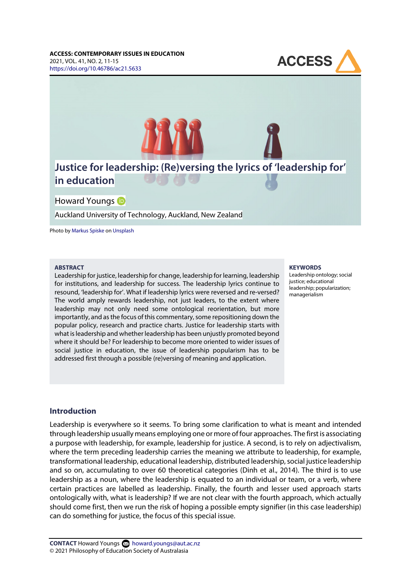



Auckland University of Technology, Auckland, New Zealand

Photo by [Markus Spiske](https://unsplash.com/@markusspiske) o[n Unsplash](https://unsplash.com/photos/QozzJpFZ2lg)

#### **ABSTRACT**

Leadership for justice, leadership for change, leadership for learning, leadership for institutions, and leadership for success. The leadership lyrics continue to resound, 'leadership for'. What if leadership lyrics were reversed and re-versed? The world amply rewards leadership, not just leaders, to the extent where leadership may not only need some ontological reorientation, but more importantly, and as the focus of this commentary, some repositioning down the popular policy, research and practice charts. Justice for leadership starts with what is leadership and whether leadership has been unjustly promoted beyond where it should be? For leadership to become more oriented to wider issues of social justice in education, the issue of leadership popularism has to be addressed first through a possible (re)versing of meaning and application.

#### **KEYWORDS**

Leadership ontology; social justice; educational leadership; popularization; managerialism

#### **Introduction**

Leadership is everywhere so it seems. To bring some clarification to what is meant and intended through leadership usually means employing one or more of four approaches. The first is associating a purpose with leadership, for example, leadership for justice. A second, is to rely on adjectivalism, where the term preceding leadership carries the meaning we attribute to leadership, for example, transformational leadership, educational leadership, distributed leadership, social justice leadership and so on, accumulating to over 60 theoretical categories (Dinh et al., 2014). The third is to use leadership as a noun, where the leadership is equated to an individual or team, or a verb, where certain practices are labelled as leadership. Finally, the fourth and lesser used approach starts ontologically with, what is leadership? If we are not clear with the fourth approach, which actually should come first, then we run the risk of hoping a possible empty signifier (in this case leadership) can do something for justice, the focus of this special issue.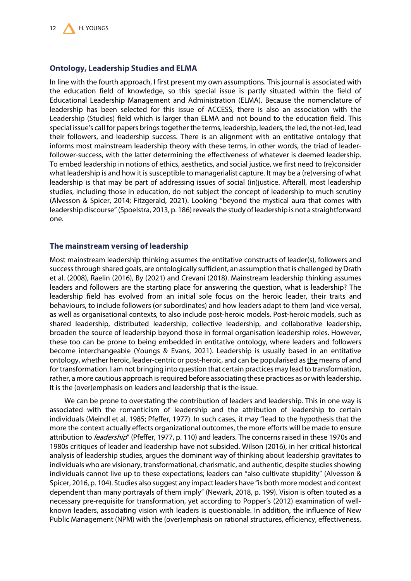## **Ontology, Leadership Studies and ELMA**

In line with the fourth approach, I first present my own assumptions. This journal is associated with the education field of knowledge, so this special issue is partly situated within the field of Educational Leadership Management and Administration (ELMA). Because the nomenclature of leadership has been selected for this issue of ACCESS, there is also an association with the Leadership (Studies) field which is larger than ELMA and not bound to the education field. This special issue's call for papers brings together the terms, leadership, leaders, the led, the not-led, lead their followers, and leadership success. There is an alignment with an entitative ontology that informs most mainstream leadership theory with these terms, in other words, the triad of leaderfollower-success, with the latter determining the effectiveness of whatever is deemed leadership. To embed leadership in notions of ethics, aesthetics, and social justice, we first need to (re)consider what leadership is and how it is susceptible to managerialist capture. It may be a (re)versing of what leadership is that may be part of addressing issues of social (in)justice. Afterall, most leadership studies, including those in education, do not subject the concept of leadership to much scrutiny (Alvesson & Spicer, 2014; Fitzgerald, 2021). Looking "beyond the mystical aura that comes with leadership discourse" (Spoelstra, 2013, p. 186) reveals the study of leadership is not a straightforward one.

#### **The mainstream versing of leadership**

Most mainstream leadership thinking assumes the entitative constructs of leader(s), followers and success through shared goals, are ontologically sufficient, an assumption that is challenged by Drath et al. (2008), Raelin (2016), By (2021) and Crevani (2018). Mainstream leadership thinking assumes leaders and followers are the starting place for answering the question, what is leadership? The leadership field has evolved from an initial sole focus on the heroic leader, their traits and behaviours, to include followers (or subordinates) and how leaders adapt to them (and vice versa), as well as organisational contexts, to also include post-heroic models. Post-heroic models, such as shared leadership, distributed leadership, collective leadership, and collaborative leadership, broaden the source of leadership beyond those in formal organisation leadership roles. However, these too can be prone to being embedded in entitative ontology, where leaders and followers become interchangeable (Youngs & Evans, 2021). Leadership is usually based in an entitative ontology, whether heroic, leader-centric or post-heroic, and can be popularised as the means of and for transformation. I am not bringing into question that certain practices may lead to transformation, rather, a more cautious approach is required before associating these practices as or with leadership. It is the (over)emphasis on leaders and leadership that is the issue.

We can be prone to overstating the contribution of leaders and leadership. This in one way is associated with the romanticism of leadership and the attribution of leadership to certain individuals (Meindl et al. 1985; Pfeffer, 1977). In such cases, it may "lead to the hypothesis that the more the context actually effects organizational outcomes, the more efforts will be made to ensure attribution to *leadership*" (Pfeffer, 1977, p. 110) and leaders. The concerns raised in these 1970s and 1980s critiques of leader and leadership have not subsided. Wilson (2016), in her critical historical analysis of leadership studies, argues the dominant way of thinking about leadership gravitates to individuals who are visionary, transformational, charismatic, and authentic, despite studies showing individuals cannot live up to these expectations; leaders can "also cultivate stupidity" (Alvesson & Spicer, 2016, p. 104). Studies also suggest any impact leaders have "is both more modest and context dependent than many portrayals of them imply" (Newark, 2018, p. 199). Vision is often touted as a necessary pre-requisite for transformation, yet according to Popper's (2012) examination of wellknown leaders, associating vision with leaders is questionable. In addition, the influence of New Public Management (NPM) with the (over)emphasis on rational structures, efficiency, effectiveness,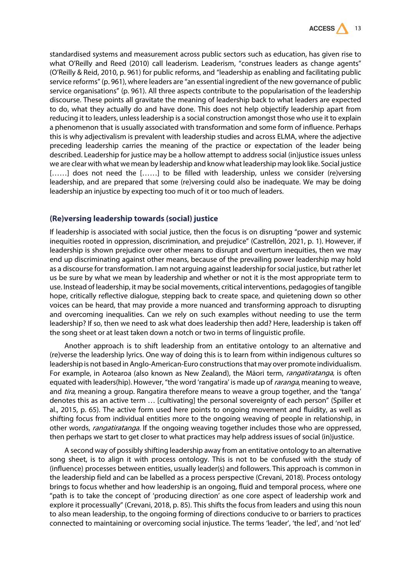

standardised systems and measurement across public sectors such as education, has given rise to what O'Reilly and Reed (2010) call leaderism. Leaderism, "construes leaders as change agents" (O'Reilly & Reid, 2010, p. 961) for public reforms, and "leadership as enabling and facilitating public service reforms" (p. 961), where leaders are "an essential ingredient of the new governance of public service organisations" (p. 961). All three aspects contribute to the popularisation of the leadership discourse. These points all gravitate the meaning of leadership back to what leaders are expected to do, what they actually do and have done. This does not help objectify leadership apart from reducing it to leaders, unless leadership is a social construction amongst those who use it to explain a phenomenon that is usually associated with transformation and some form of influence. Perhaps this is why adjectivalism is prevalent with leadership studies and across ELMA, where the adjective preceding leadership carries the meaning of the practice or expectation of the leader being described. Leadership for justice may be a hollow attempt to address social (in)justice issues unless we are clear with what we mean by leadership and know what leadership may look like. Social justice [......] does not need the [......] to be filled with leadership, unless we consider (re)versing leadership, and are prepared that some (re)versing could also be inadequate. We may be doing leadership an injustice by expecting too much of it or too much of leaders.

## **(Re)versing leadership towards (social) justice**

If leadership is associated with social justice, then the focus is on disrupting "power and systemic inequities rooted in oppression, discrimination, and prejudice" (Castrellón, 2021, p. 1). However, if leadership is shown prejudice over other means to disrupt and overturn inequities, then we may end up discriminating against other means, because of the prevailing power leadership may hold as a discourse for transformation. I am not arguing against leadership for social justice, but rather let us be sure by what we mean by leadership and whether or not it is the most appropriate term to use. Instead of leadership, it may be social movements, critical interventions, pedagogies of tangible hope, critically reflective dialogue, stepping back to create space, and quietening down so other voices can be heard, that may provide a more nuanced and transforming approach to disrupting and overcoming inequalities. Can we rely on such examples without needing to use the term leadership? If so, then we need to ask what does leadership then add? Here, leadership is taken off the song sheet or at least taken down a notch or two in terms of linguistic profile.

Another approach is to shift leadership from an entitative ontology to an alternative and (re)verse the leadership lyrics. One way of doing this is to learn from within indigenous cultures so leadership is not based in Anglo-American-Euro constructions that may over promote individualism. For example, in Aotearoa (also known as New Zealand), the Māori term, rangatiratanga, is often equated with leaders(hip). However, "the word 'rangatira' is made up of *raranga*, meaning to weave, and *tira*, meaning a group. Rangatira therefore means to weave a group together, and the 'tanga' denotes this as an active term … [cultivating] the personal sovereignty of each person" (Spiller et al., 2015, p. 65). The active form used here points to ongoing movement and fluidity, as well as shifting focus from individual entities more to the ongoing weaving of people in relationship, in other words, *rangatiratanga*. If the ongoing weaving together includes those who are oppressed, then perhaps we start to get closer to what practices may help address issues of social (in)justice.

A second way of possibly shifting leadership away from an entitative ontology to an alternative song sheet, is to align it with process ontology. This is not to be confused with the study of (influence) processes between entities, usually leader(s) and followers. This approach is common in the leadership field and can be labelled as a process perspective (Crevani, 2018). Process ontology brings to focus whether and how leadership is an ongoing, fluid and temporal process, where one "path is to take the concept of 'producing direction' as one core aspect of leadership work and explore it processually" (Crevani, 2018, p. 85). This shifts the focus from leaders and using this noun to also mean leadership, to the ongoing forming of directions conducive to or barriers to practices connected to maintaining or overcoming social injustice. The terms 'leader', 'the led', and 'not led'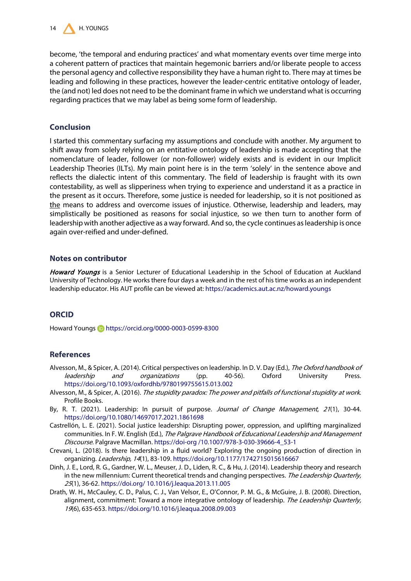

become, 'the temporal and enduring practices' and what momentary events over time merge into a coherent pattern of practices that maintain hegemonic barriers and/or liberate people to access the personal agency and collective responsibility they have a human right to. There may at times be leading and following in these practices, however the leader-centric entitative ontology of leader, the (and not) led does not need to be the dominant frame in which we understand what is occurring regarding practices that we may label as being some form of leadership.

## **Conclusion**

I started this commentary surfacing my assumptions and conclude with another. My argument to shift away from solely relying on an entitative ontology of leadership is made accepting that the nomenclature of leader, follower (or non-follower) widely exists and is evident in our Implicit Leadership Theories (ILTs). My main point here is in the term 'solely' in the sentence above and reflects the dialectic intent of this commentary. The field of leadership is fraught with its own contestability, as well as slipperiness when trying to experience and understand it as a practice in the present as it occurs. Therefore, some justice is needed for leadership, so it is not positioned as the means to address and overcome issues of injustice. Otherwise, leadership and leaders, may simplistically be positioned as reasons for social injustice, so we then turn to another form of leadership with another adjective as a way forward. And so, the cycle continues as leadership is once again over-reified and under-defined.

#### **Notes on contributor**

Howard Youngs is a Senior Lecturer of Educational Leadership in the School of Education at Auckland University of Technology. He works there four days a week and in the rest of his time works as an independent leadership educator. His AUT profile can be viewed at[: https://academics.aut.ac.nz/howard.youngs](https://academics.aut.ac.nz/howard.youngs)

# **ORCID**

Howard Youngs **b** <https://orcid.org/0000-0003-0599-8300>

## **References**

- Alvesson, M., & Spicer, A. (2014). Critical perspectives on leadership. In D. V. Day (Ed.), The Oxford handbook of leadership and organizations (pp. 40-56). Oxford University Press. <https://doi.org/10.1093/oxfordhb/9780199755615.013.002>
- Alvesson, M., & Spicer, A. (2016). The stupidity paradox: The power and pitfalls of functional stupidity at work. Profile Books.
- By, R. T. (2021). Leadership: In pursuit of purpose. Journal of Change Management, 21(1), 30-44. <https://doi.org/10.1080/14697017.2021.1861698>
- Castrellón, L. E. (2021). Social justice leadership: Disrupting power, oppression, and uplifting marginalized communities. In F. W. English (Ed.), The Palgrave Handbook of Educational Leadership and Management Discourse. Palgrave Macmillan. https://doi-org /10.1007/978-3-030-39666-4\_53-1
- Crevani, L. (2018). Is there leadership in a fluid world? Exploring the ongoing production of direction in organizing. Leadership, 14(1), 83-109[. https://doi.org/10.1177/1742715015616667](https://doi.org/10.1177/1742715015616667)
- Dinh, J. E., Lord, R. G., Gardner, W. L., Meuser, J. D., Liden, R. C., & Hu, J. (2014). Leadership theory and research in the new millennium: Current theoretical trends and changing perspectives. The Leadership Quarterly, <sup>25</sup>(1), 36-62[. https://doi.org/ 10.1016/j.leaqua.2013.11.005](https://doi.org/http:/dx.doi.org/10.1016/j.leaqua.2013.11.005)
- Drath, W. H., McCauley, C. D., Palus, C. J., Van Velsor, E., O'Connor, P. M. G., & McGuire, J. B. (2008). Direction, alignment, commitment: Toward a more integrative ontology of leadership. The Leadership Quarterly, 19(6), 635-653[. https://doi.org/10.1016/j.leaqua.2008.09.003](https://doi.org/10.1016/j.leaqua.2008.09.003)